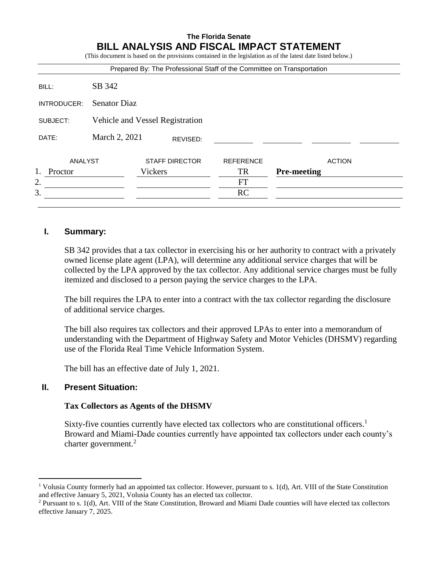#### **The Florida Senate BILL ANALYSIS AND FISCAL IMPACT STATEMENT** (This document is based on the provisions contained in the legislation as of the latest date listed below.)

|             |                                 |         |                       | Prepared By: The Professional Staff of the Committee on Transportation |                    |               |
|-------------|---------------------------------|---------|-----------------------|------------------------------------------------------------------------|--------------------|---------------|
| BILL:       | SB 342                          |         |                       |                                                                        |                    |               |
| INTRODUCER: | <b>Senator Diaz</b>             |         |                       |                                                                        |                    |               |
| SUBJECT:    | Vehicle and Vessel Registration |         |                       |                                                                        |                    |               |
| DATE:       | March 2, 2021                   |         | REVISED:              |                                                                        |                    |               |
| ANALYST     |                                 |         | <b>STAFF DIRECTOR</b> | <b>REFERENCE</b>                                                       |                    | <b>ACTION</b> |
| Proctor     |                                 | Vickers |                       | <b>TR</b>                                                              | <b>Pre-meeting</b> |               |
| 2.          |                                 |         |                       | <b>FT</b>                                                              |                    |               |
| 3.          |                                 |         |                       | <b>RC</b>                                                              |                    |               |

## **I. Summary:**

SB 342 provides that a tax collector in exercising his or her authority to contract with a privately owned license plate agent (LPA), will determine any additional service charges that will be collected by the LPA approved by the tax collector. Any additional service charges must be fully itemized and disclosed to a person paying the service charges to the LPA.

The bill requires the LPA to enter into a contract with the tax collector regarding the disclosure of additional service charges.

The bill also requires tax collectors and their approved LPAs to enter into a memorandum of understanding with the Department of Highway Safety and Motor Vehicles (DHSMV) regarding use of the Florida Real Time Vehicle Information System.

The bill has an effective date of July 1, 2021.

## **II. Present Situation:**

 $\overline{a}$ 

### **Tax Collectors as Agents of the DHSMV**

Sixty-five counties currently have elected tax collectors who are constitutional officers.<sup>1</sup> Broward and Miami-Dade counties currently have appointed tax collectors under each county's charter government.<sup>2</sup>

<sup>&</sup>lt;sup>1</sup> Volusia County formerly had an appointed tax collector. However, pursuant to s. 1(d), Art. VIII of the State Constitution and effective January 5, 2021, Volusia County has an elected tax collector.

<sup>2</sup> Pursuant to s. 1(d), Art. VIII of the State Constitution, Broward and Miami Dade counties will have elected tax collectors effective January 7, 2025.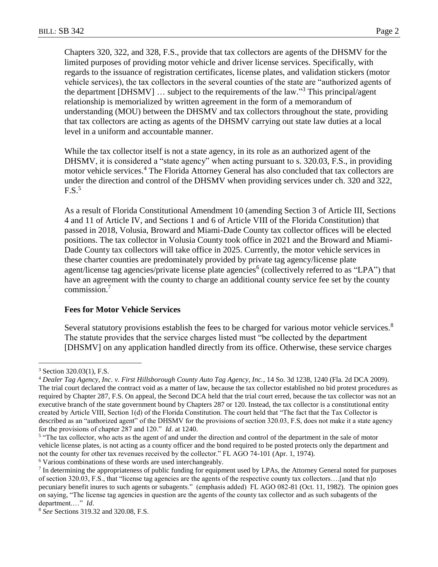Chapters 320, 322, and 328, F.S., provide that tax collectors are agents of the DHSMV for the limited purposes of providing motor vehicle and driver license services. Specifically, with regards to the issuance of registration certificates, license plates, and validation stickers (motor vehicle services), the tax collectors in the several counties of the state are "authorized agents of the department [DHSMV]  $\dots$  subject to the requirements of the law."<sup>3</sup> This principal/agent relationship is memorialized by written agreement in the form of a memorandum of understanding (MOU) between the DHSMV and tax collectors throughout the state, providing that tax collectors are acting as agents of the DHSMV carrying out state law duties at a local level in a uniform and accountable manner.

While the tax collector itself is not a state agency, in its role as an authorized agent of the DHSMV, it is considered a "state agency" when acting pursuant to s. 320.03, F.S., in providing motor vehicle services.<sup>4</sup> The Florida Attorney General has also concluded that tax collectors are under the direction and control of the DHSMV when providing services under ch. 320 and 322, F.S. 5

As a result of Florida Constitutional Amendment 10 (amending Section 3 of Article III, Sections 4 and 11 of Article IV, and Sections 1 and 6 of Article VIII of the Florida Constitution) that passed in 2018, Volusia, Broward and Miami-Dade County tax collector offices will be elected positions. The tax collector in Volusia County took office in 2021 and the Broward and Miami-Dade County tax collectors will take office in 2025. Currently, the motor vehicle services in these charter counties are predominately provided by private tag agency/license plate agent/license tag agencies/private license plate agencies<sup>6</sup> (collectively referred to as "LPA") that have an agreement with the county to charge an additional county service fee set by the county commission.<sup>7</sup>

### **Fees for Motor Vehicle Services**

Several statutory provisions establish the fees to be charged for various motor vehicle services.<sup>8</sup> The statute provides that the service charges listed must "be collected by the department [DHSMV] on any application handled directly from its office. Otherwise, these service charges

 $\overline{a}$ 

<sup>6</sup> Various combinations of these words are used interchangeably.

<sup>3</sup> Section 320.03(1), F.S.

<sup>4</sup> *Dealer Tag Agency, Inc. v. First Hillsborough County Auto Tag Agency, Inc.*, 14 So. 3d 1238, 1240 (Fla. 2d DCA 2009). The trial court declared the contract void as a matter of law, because the tax collector established no bid protest procedures as required by Chapter 287, F.S. On appeal, the Second DCA held that the trial court erred, because the tax collector was not an executive branch of the state government bound by Chapters 287 or 120. Instead, the tax collector is a constitutional entity created by Article VIII, Section 1(d) of the Florida Constitution. The court held that "The fact that the Tax Collector is described as an "authorized agent" of the DHSMV for the provisions of section 320.03, F.S, does not make it a state agency for the provisions of chapter 287 and 120." *Id*. at 1240.

<sup>&</sup>lt;sup>5</sup> "The tax collector, who acts as the agent of and under the direction and control of the department in the sale of motor vehicle license plates, is not acting as a county officer and the bond required to be posted protects only the department and not the county for other tax revenues received by the collector." FL AGO 74-101 (Apr. 1, 1974).

 $<sup>7</sup>$  In determining the appropriateness of public funding for equipment used by LPAs, the Attorney General noted for purposes</sup> of section 320.03, F.S., that "license tag agencies are the agents of the respective county tax collectors….[and that n]o pecuniary benefit inures to such agents or subagents." (emphasis added) FL AGO 082-81 (Oct. 11, 1982). The opinion goes on saying, "The license tag agencies in question are the agents of the county tax collector and as such subagents of the department.…" *Id*.

<sup>8</sup> *See* Sections 319.32 and 320.08, F.S.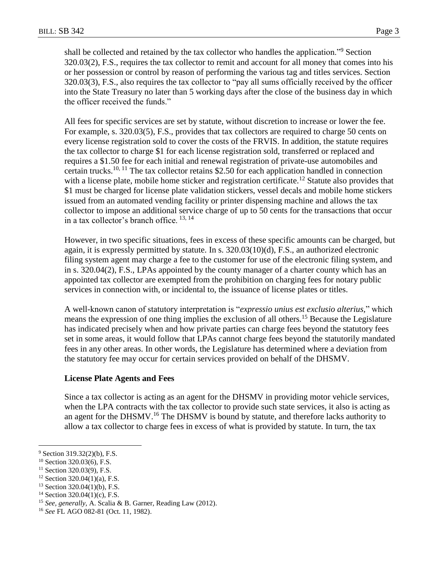shall be collected and retained by the tax collector who handles the application."<sup>9</sup> Section 320.03(2), F.S., requires the tax collector to remit and account for all money that comes into his or her possession or control by reason of performing the various tag and titles services. Section 320.03(3), F.S., also requires the tax collector to "pay all sums officially received by the officer into the State Treasury no later than 5 working days after the close of the business day in which the officer received the funds."

All fees for specific services are set by statute, without discretion to increase or lower the fee. For example, s. 320.03(5), F.S., provides that tax collectors are required to charge 50 cents on every license registration sold to cover the costs of the FRVIS. In addition, the statute requires the tax collector to charge \$1 for each license registration sold, transferred or replaced and requires a \$1.50 fee for each initial and renewal registration of private-use automobiles and certain trucks.<sup>10, 11</sup> The tax collector retains \$2.50 for each application handled in connection with a license plate, mobile home sticker and registration certificate.<sup>12</sup> Statute also provides that \$1 must be charged for license plate validation stickers, vessel decals and mobile home stickers issued from an automated vending facility or printer dispensing machine and allows the tax collector to impose an additional service charge of up to 50 cents for the transactions that occur in a tax collector's branch office.  $13, 14$ 

However, in two specific situations, fees in excess of these specific amounts can be charged, but again, it is expressly permitted by statute. In s.  $320.03(10)(d)$ , F.S., an authorized electronic filing system agent may charge a fee to the customer for use of the electronic filing system, and in s. 320.04(2), F.S., LPAs appointed by the county manager of a charter county which has an appointed tax collector are exempted from the prohibition on charging fees for notary public services in connection with, or incidental to, the issuance of license plates or titles.

A well-known canon of statutory interpretation is "*expressio unius est exclusio alterius,*" which means the expression of one thing implies the exclusion of all others.<sup>15</sup> Because the Legislature has indicated precisely when and how private parties can charge fees beyond the statutory fees set in some areas, it would follow that LPAs cannot charge fees beyond the statutorily mandated fees in any other areas. In other words, the Legislature has determined where a deviation from the statutory fee may occur for certain services provided on behalf of the DHSMV.

### **License Plate Agents and Fees**

Since a tax collector is acting as an agent for the DHSMV in providing motor vehicle services, when the LPA contracts with the tax collector to provide such state services, it also is acting as an agent for the DHSMV.<sup>16</sup> The DHSMV is bound by statute, and therefore lacks authority to allow a tax collector to charge fees in excess of what is provided by statute. In turn, the tax

<sup>9</sup> Section 319.32(2)(b), F.S.

<sup>10</sup> Section 320.03(6), F.S.

 $11$  Section 320.03(9), F.S.

 $12$  Section 320.04(1)(a), F.S.

 $13$  Section 320.04(1)(b), F.S.

<sup>&</sup>lt;sup>14</sup> Section 320.04(1)(c), F.S.

<sup>15</sup> *See, generally,* A. Scalia & B. Garner, Reading Law (2012).

<sup>16</sup> *See* FL AGO 082-81 (Oct. 11, 1982).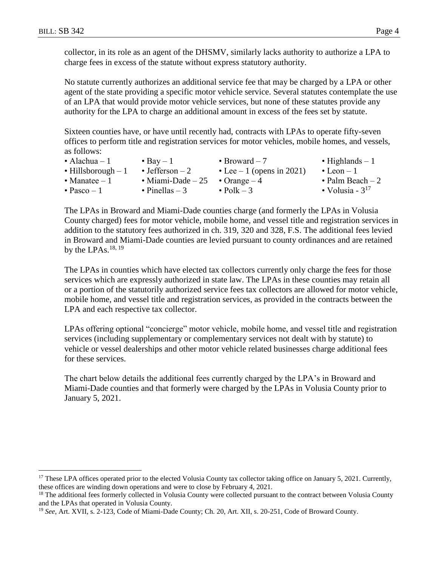$\overline{a}$ 

collector, in its role as an agent of the DHSMV, similarly lacks authority to authorize a LPA to charge fees in excess of the statute without express statutory authority.

No statute currently authorizes an additional service fee that may be charged by a LPA or other agent of the state providing a specific motor vehicle service. Several statutes contemplate the use of an LPA that would provide motor vehicle services, but none of these statutes provide any authority for the LPA to charge an additional amount in excess of the fees set by statute.

Sixteen counties have, or have until recently had, contracts with LPAs to operate fifty-seven offices to perform title and registration services for motor vehicles, mobile homes, and vessels, as follows:

| • Alachua – 1               | $\bullet$ Bay $-1$                             | • Broward $-7$             | $\bullet$ Highlands $-1$ |
|-----------------------------|------------------------------------------------|----------------------------|--------------------------|
| $\bullet$ Hillsborough $-1$ | $\bullet$ Jefferson $-2$                       | • Lee $-1$ (opens in 2021) | $\bullet$ Leon $-1$      |
| • Manatee $-1$              | $\bullet$ Miami-Dade – 25 $\bullet$ Orange – 4 |                            | • Palm Beach $-2$        |
| $\bullet$ Pasco – 1         | $\bullet$ Pinellas – 3                         | $\bullet$ Polk – 3         | • Volusia - $3^{17}$     |

The LPAs in Broward and Miami-Dade counties charge (and formerly the LPAs in Volusia County charged) fees for motor vehicle, mobile home, and vessel title and registration services in addition to the statutory fees authorized in ch. 319, 320 and 328, F.S. The additional fees levied in Broward and Miami-Dade counties are levied pursuant to county ordinances and are retained by the LPAs. $^{18, 19}$ 

The LPAs in counties which have elected tax collectors currently only charge the fees for those services which are expressly authorized in state law. The LPAs in these counties may retain all or a portion of the statutorily authorized service fees tax collectors are allowed for motor vehicle, mobile home, and vessel title and registration services, as provided in the contracts between the LPA and each respective tax collector.

LPAs offering optional "concierge" motor vehicle, mobile home, and vessel title and registration services (including supplementary or complementary services not dealt with by statute) to vehicle or vessel dealerships and other motor vehicle related businesses charge additional fees for these services.

The chart below details the additional fees currently charged by the LPA's in Broward and Miami-Dade counties and that formerly were charged by the LPAs in Volusia County prior to January 5, 2021.

<sup>&</sup>lt;sup>17</sup> These LPA offices operated prior to the elected Volusia County tax collector taking office on January 5, 2021. Currently, these offices are winding down operations and were to close by February 4, 2021.

<sup>&</sup>lt;sup>18</sup> The additional fees formerly collected in Volusia County were collected pursuant to the contract between Volusia County and the LPAs that operated in Volusia County.

<sup>&</sup>lt;sup>19</sup> *See*, Art. XVII, s. 2-123, Code of Miami-Dade County; Ch. 20, Art. XII, s. 20-251, Code of Broward County.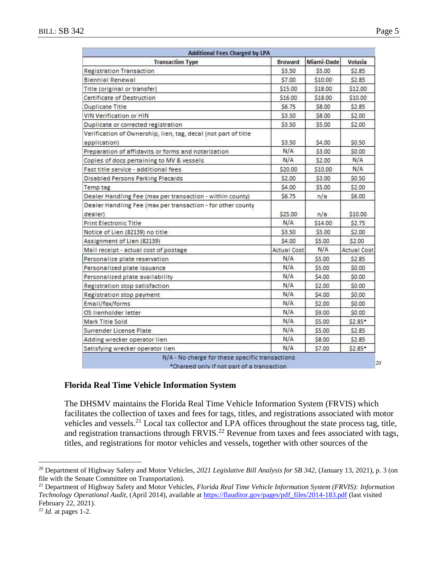| <b>Transaction Type</b>                                                        | Broward            | <b>Miami-Dade</b> | <b>Volusia</b>     |
|--------------------------------------------------------------------------------|--------------------|-------------------|--------------------|
| <b>Registration Transaction</b>                                                | \$3.50             | \$5.00            | \$2.85             |
| <b>Biennial Renewal</b>                                                        | \$7.00             | \$10.00           | \$2.85             |
| Title (original or transfer)                                                   | \$15.00            | \$18.00           | \$12.00            |
| Certificate of Destruction                                                     | \$16.00            | \$18.00           | \$10.00            |
| <b>Duplicate Title</b>                                                         | \$6.75             | \$8.00            | \$2.85             |
| VIN Verification or HIN                                                        | \$3.50             | \$8.00            | \$2.00             |
| Duplicate or corrected registration                                            | \$3.50             | \$5.00            | \$2.00             |
| Verification of Ownership, lien, tag, decal (not part of title<br>application) | \$3.50             | \$4.00            | \$0.50             |
| Preparation of affidavits or forms and notarization                            | N/A                | \$3.00            | \$0.00             |
| Copies of docs pertaining to MV & vessels                                      | N/A                | \$2.00            | N/A                |
| Fast title service - additional fees                                           | \$20.00            | \$10.00           | N/A                |
| Disabled Persons Parking Placards                                              | \$2.00             | \$3.00            | \$0.50             |
| Temp tag                                                                       | \$4.00             | \$5.00            | \$2.00             |
| Dealer Handling Fee (max per transaction - within county)                      | \$6.75             | n/a               | \$6.00             |
| Dealer Handling Fee (max per transaction - for other county<br>dealer)         | \$25.00            | n/a               | \$10.00            |
| <b>Print Electronic Title</b>                                                  | N/A                | \$14.00           | \$2.75             |
| Notice of Lien (82139) no title                                                | \$3.50             | \$5.00            | \$2.00             |
| Assignment of Lien (82139)                                                     | \$4.00             | \$5.00            | \$2.00             |
| Mail receipt - actual cost of postage                                          | <b>Actual Cost</b> | N/A               | <b>Actual Cost</b> |
| Personalize plate reservation                                                  | N/A                | \$5.00            | \$2.85             |
| Personalized plate issuance                                                    | N/A                | \$5.00            | \$0.00             |
| Personalized plate availability                                                | N/A                | \$4.00            | \$0.00             |
| Registration stop satisfaction                                                 | N/A                | \$2.00            | 50.00              |
| Registration stop payment                                                      | N/A                | \$4.00            | \$0.00             |
| Email/fax/forms                                                                | N/A                | \$2.00            | \$0.00             |
| OS lienholder letter                                                           | N/A                | \$9.00            | \$0.00             |
| Mark Title Sold                                                                | N/A                | \$5.00            | $52.85*$           |
| Surrender License Plate                                                        | N/A                | \$5.00            | \$2.85             |
| Adding wrecker operator lien                                                   | N/A                | \$8.00            | \$2.85             |
| Satisfying wrecker operator lien                                               | N/A                | \$7.00            | $$2.85*$           |

**Florida Real Time Vehicle Information System**

The DHSMV maintains the Florida Real Time Vehicle Information System (FRVIS) which facilitates the collection of taxes and fees for tags, titles, and registrations associated with motor vehicles and vessels.<sup>21</sup> Local tax collector and LPA offices throughout the state process tag, title, and registration transactions through FRVIS.<sup>22</sup> Revenue from taxes and fees associated with tags, titles, and registrations for motor vehicles and vessels, together with other sources of the

<sup>20</sup> Department of Highway Safety and Motor Vehicles, *2021 Legislative Bill Analysis for SB 342*, (January 13, 2021), p. 3 (on file with the Senate Committee on Transportation).

<sup>21</sup> Department of Highway Safety and Motor Vehicles, *Florida Real Time Vehicle Information System (FRVIS): Information Technology Operational Audit*, (April 2014), available at [https://flauditor.gov/pages/pdf\\_files/2014-183.pdf](https://flauditor.gov/pages/pdf_files/2014-183.pdf) (last visited February 22, 2021).

<sup>22</sup> *Id.* at pages 1-2.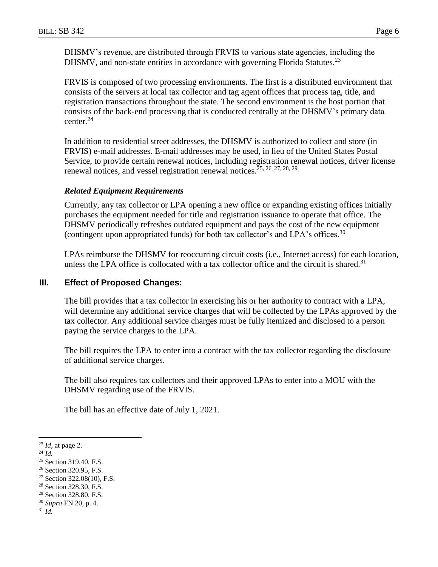DHSMV's revenue, are distributed through FRVIS to various state agencies, including the DHSMV, and non-state entities in accordance with governing Florida Statutes.<sup>23</sup>

FRVIS is composed of two processing environments. The first is a distributed environment that consists of the servers at local tax collector and tag agent offices that process tag, title, and registration transactions throughout the state. The second environment is the host portion that consists of the back-end processing that is conducted centrally at the DHSMV's primary data center. $24$ 

In addition to residential street addresses, the DHSMV is authorized to collect and store (in FRVIS) e-mail addresses. E-mail addresses may be used, in lieu of the United States Postal Service, to provide certain renewal notices, including registration renewal notices, driver license renewal notices, and vessel registration renewal notices.<sup>25, 26, 27, 28, 29</sup>

### *Related Equipment Requirements*

Currently, any tax collector or LPA opening a new office or expanding existing offices initially purchases the equipment needed for title and registration issuance to operate that office. The DHSMV periodically refreshes outdated equipment and pays the cost of the new equipment (contingent upon appropriated funds) for both tax collector's and LPA's offices.<sup>30</sup>

LPAs reimburse the DHSMV for reoccurring circuit costs (i.e., Internet access) for each location, unless the LPA office is collocated with a tax collector office and the circuit is shared.<sup>31</sup>

## **III. Effect of Proposed Changes:**

The bill provides that a tax collector in exercising his or her authority to contract with a LPA, will determine any additional service charges that will be collected by the LPAs approved by the tax collector. Any additional service charges must be fully itemized and disclosed to a person paying the service charges to the LPA.

The bill requires the LPA to enter into a contract with the tax collector regarding the disclosure of additional service charges.

The bill also requires tax collectors and their approved LPAs to enter into a MOU with the DHSMV regarding use of the FRVIS.

The bill has an effective date of July 1, 2021.

<sup>24</sup> *Id.*

- <sup>27</sup> Section 322.08(10), F.S.
- <sup>28</sup> Section 328.30, F.S.
- <sup>29</sup> Section 328.80, F.S.
- <sup>30</sup> *Supra* FN 20, p. 4.
- <sup>31</sup> *Id.*

<sup>23</sup> *Id,* at page 2.

<sup>&</sup>lt;sup>25</sup> Section 319.40, F.S.

<sup>&</sup>lt;sup>26</sup> Section 320.95, F.S.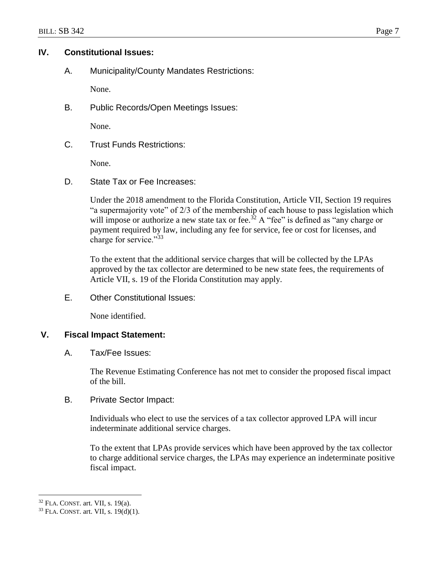## **IV. Constitutional Issues:**

A. Municipality/County Mandates Restrictions:

None.

B. Public Records/Open Meetings Issues:

None.

C. Trust Funds Restrictions:

None.

D. State Tax or Fee Increases:

Under the 2018 amendment to the Florida Constitution, Article VII, Section 19 requires "a supermajority vote" of 2/3 of the membership of each house to pass legislation which will impose or authorize a new state tax or fee.<sup>32</sup> A "fee" is defined as "any charge or payment required by law, including any fee for service, fee or cost for licenses, and charge for service."<sup>33</sup>

To the extent that the additional service charges that will be collected by the LPAs approved by the tax collector are determined to be new state fees, the requirements of Article VII, s. 19 of the Florida Constitution may apply.

E. Other Constitutional Issues:

None identified.

### **V. Fiscal Impact Statement:**

A. Tax/Fee Issues:

The Revenue Estimating Conference has not met to consider the proposed fiscal impact of the bill.

B. Private Sector Impact:

Individuals who elect to use the services of a tax collector approved LPA will incur indeterminate additional service charges.

To the extent that LPAs provide services which have been approved by the tax collector to charge additional service charges, the LPAs may experience an indeterminate positive fiscal impact.

<sup>32</sup> FLA. CONST. art. VII, s. 19(a).

<sup>33</sup> FLA. CONST. art. VII, s. 19(d)(1).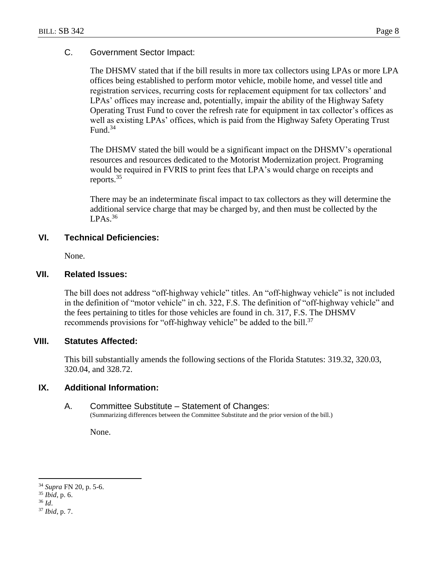### C. Government Sector Impact:

The DHSMV stated that if the bill results in more tax collectors using LPAs or more LPA offices being established to perform motor vehicle, mobile home, and vessel title and registration services, recurring costs for replacement equipment for tax collectors' and LPAs' offices may increase and, potentially, impair the ability of the Highway Safety Operating Trust Fund to cover the refresh rate for equipment in tax collector's offices as well as existing LPAs' offices, which is paid from the Highway Safety Operating Trust Fund. 34

The DHSMV stated the bill would be a significant impact on the DHSMV's operational resources and resources dedicated to the Motorist Modernization project. Programing would be required in FVRIS to print fees that LPA's would charge on receipts and reports.<sup>35</sup>

There may be an indeterminate fiscal impact to tax collectors as they will determine the additional service charge that may be charged by, and then must be collected by the  $LPAs<sup>36</sup>$ 

### **VI. Technical Deficiencies:**

None.

#### **VII. Related Issues:**

The bill does not address "off-highway vehicle" titles. An "off-highway vehicle" is not included in the definition of "motor vehicle" in ch. 322, F.S. The definition of "off-highway vehicle" and the fees pertaining to titles for those vehicles are found in ch. 317, F.S. The DHSMV recommends provisions for "off-highway vehicle" be added to the bill.<sup>37</sup>

#### **VIII. Statutes Affected:**

This bill substantially amends the following sections of the Florida Statutes: 319.32, 320.03, 320.04, and 328.72.

#### **IX. Additional Information:**

#### A. Committee Substitute – Statement of Changes:

(Summarizing differences between the Committee Substitute and the prior version of the bill.)

None.

<sup>34</sup> *Supra* FN 20, p. 5-6.

<sup>35</sup> *Ibid*, p. 6.

<sup>36</sup> *Id*.

<sup>37</sup> *Ibid*, p. 7.